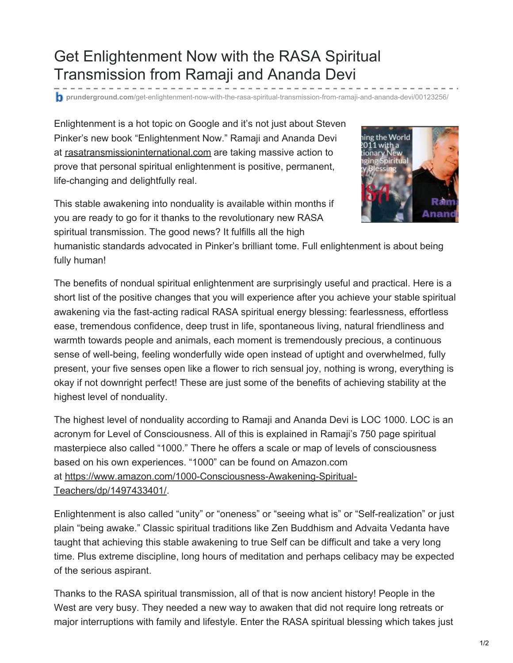## Get Enlightenment Now with the RASA Spiritual Transmission from Ramaji and Ananda Devi

**prunderground.com**[/get-enlightenment-now-with-the-rasa-spiritual-transmission-from-ramaji-and-ananda-devi/00123256/](http://www.prunderground.com/get-enlightenment-now-with-the-rasa-spiritual-transmission-from-ramaji-and-ananda-devi/00123256/)

Enlightenment is a hot topic on Google and it's not just about Steven Pinker's new book "Enlightenment Now." Ramaji and Ananda Devi at [rasatransmissioninternational.com](https://www.rasatransmissioninternational.com/) are taking massive action to prove that personal spiritual enlightenment is positive, permanent, life-changing and delightfully real.

This stable awakening into nonduality is available within months if you are ready to go for it thanks to the revolutionary new RASA spiritual transmission. The good news? It fulfills all the high



humanistic standards advocated in Pinker's brilliant tome. Full enlightenment is about being fully human!

The benefits of nondual spiritual enlightenment are surprisingly useful and practical. Here is a short list of the positive changes that you will experience after you achieve your stable spiritual awakening via the fast-acting radical RASA spiritual energy blessing: fearlessness, effortless ease, tremendous confidence, deep trust in life, spontaneous living, natural friendliness and warmth towards people and animals, each moment is tremendously precious, a continuous sense of well-being, feeling wonderfully wide open instead of uptight and overwhelmed, fully present, your five senses open like a flower to rich sensual joy, nothing is wrong, everything is okay if not downright perfect! These are just some of the benefits of achieving stability at the highest level of nonduality.

The highest level of nonduality according to Ramaji and Ananda Devi is LOC 1000. LOC is an acronym for Level of Consciousness. All of this is explained in Ramaji's 750 page spiritual masterpiece also called "1000." There he offers a scale or map of levels of consciousness based on his own experiences. "1000" can be found on Amazon.com at [https://www.amazon.com/1000-Consciousness-Awakening-Spiritual-](https://www.amazon.com/1000-Consciousness-Awakening-Spiritual-Teachers/dp/1497433401/)Teachers/dp/1497433401/.

Enlightenment is also called "unity" or "oneness" or "seeing what is" or "Self-realization" or just plain "being awake." Classic spiritual traditions like Zen Buddhism and Advaita Vedanta have taught that achieving this stable awakening to true Self can be difficult and take a very long time. Plus extreme discipline, long hours of meditation and perhaps celibacy may be expected of the serious aspirant.

Thanks to the RASA spiritual transmission, all of that is now ancient history! People in the West are very busy. They needed a new way to awaken that did not require long retreats or major interruptions with family and lifestyle. Enter the RASA spiritual blessing which takes just